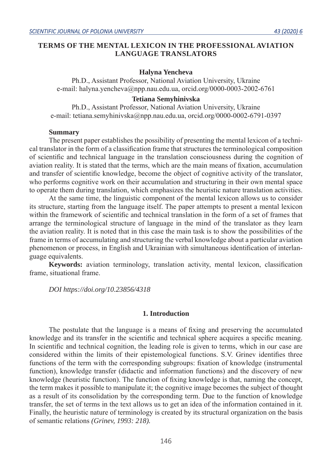# **TERMS OF THE MENTAL LEXICON IN THE PROFESSIONAL AVIATION LANGUAGE TRANSLATORS**

### **Halyna Yencheva**

Ph.D., Assistant Professor, National Aviation University, Ukraine e-mail: halyna.yencheva@npp.nau.edu.ua, orcid.org/0000-0003-2002-6761

## **Tetiana Semyhinivska**

Ph.D., Assistant Professor, National Aviation University, Ukraine e-mail: tetiana.semyhinivska@npp.nau.edu.ua, orcid.org/0000-0002-6791-0397

#### **Summary**

The present paper establishes the possibility of presenting the mental lexicon of a technical translator in the form of a classification frame that structures the terminological composition of scientific and technical language in the translation consciousness during the cognition of aviation reality. It is stated that the terms, which are the main means of fixation, accumulation and transfer of scientific knowledge, become the object of cognitive activity of the translator, who performs cognitive work on their accumulation and structuring in their own mental space to operate them during translation, which emphasizes the heuristic nature translation activities.

At the same time, the linguistic component of the mental lexicon allows us to consider its structure, starting from the language itself. The paper attempts to present a mental lexicon within the framework of scientific and technical translation in the form of a set of frames that arrange the terminological structure of language in the mind of the translator as they learn the aviation reality. It is noted that in this case the main task is to show the possibilities of the frame in terms of accumulating and structuring the verbal knowledge about a particular aviation phenomenon or process, in English and Ukrainian with simultaneous identification of interlanguage equivalents.

**Keywords:** aviation terminology, translation activity, mental lexicon, classification frame, situational frame.

*DOI https://doi.org/10.23856/4318*

### **1. Introduction**

The postulate that the language is a means of fixing and preserving the accumulated knowledge and its transfer in the scientific and technical sphere acquires a specific meaning. In scientific and technical cognition, the leading role is given to terms, which in our case are considered within the limits of their epistemological functions. S.V. Grinev identifies three functions of the term with the corresponding subgroups: fixation of knowledge (instrumental function), knowledge transfer (didactic and information functions) and the discovery of new knowledge (heuristic function). The function of fixing knowledge is that, naming the concept, the term makes it possible to manipulate it; the cognitive image becomes the subject of thought as a result of its consolidation by the corresponding term. Due to the function of knowledge transfer, the set of terms in the text allows us to get an idea of the information contained in it. Finally, the heuristic nature of terminology is created by its structural organization on the basis of semantic relations *(Grinev, 1993: 218).*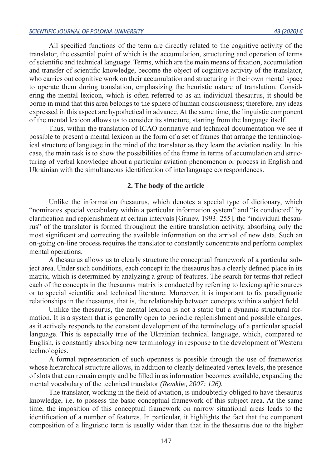All specified functions of the term are directly related to the cognitive activity of the translator, the essential point of which is the accumulation, structuring and operation of terms of scientific and technical language. Terms, which are the main means of fixation, accumulation and transfer of scientific knowledge, become the object of cognitive activity of the translator, who carries out cognitive work on their accumulation and structuring in their own mental space to operate them during translation, emphasizing the heuristic nature of translation. Considering the mental lexicon, which is often referred to as an individual thesaurus, it should be borne in mind that this area belongs to the sphere of human consciousness; therefore, any ideas expressed in this aspect are hypothetical in advance. At the same time, the linguistic component of the mental lexicon allows us to consider its structure, starting from the language itself.

Thus, within the translation of ICAO normative and technical documentation we see it possible to present a mental lexicon in the form of a set of frames that arrange the terminological structure of language in the mind of the translator as they learn the aviation reality. In this case, the main task is to show the possibilities of the frame in terms of accumulation and structuring of verbal knowledge about a particular aviation phenomenon or process in English and Ukrainian with the simultaneous identification of interlanguage correspondences.

### **2. The body of the article**

Unlike the information thesaurus, which denotes a special type of dictionary, which "nominates special vocabulary within a particular information system" and "is conducted" by clarification and replenishment at certain intervals [Grinev, 1993: 255], the "individual thesaurus" of the translator is formed throughout the entire translation activity, absorbing only the most significant and correcting the available information on the arrival of new data. Such an on-going on-line process requires the translator to constantly concentrate and perform complex mental operations.

A thesaurus allows us to clearly structure the conceptual framework of a particular subject area. Under such conditions, each concept in the thesaurus has a clearly defined place in its matrix, which is determined by analyzing a group of features. The search for terms that reflect each of the concepts in the thesaurus matrix is conducted by referring to lexicographic sources or to special scientific and technical literature. Moreover, it is important to fix paradigmatic relationships in the thesaurus, that is, the relationship between concepts within a subject field.

Unlike the thesaurus, the mental lexicon is not a static but a dynamic structural formation. It is a system that is generally open to periodic replenishment and possible changes, as it actively responds to the constant development of the terminology of a particular special language. This is especially true of the Ukrainian technical language, which, compared to English, is constantly absorbing new terminology in response to the development of Western technologies.

A formal representation of such openness is possible through the use of frameworks whose hierarchical structure allows, in addition to clearly delineated vertex levels, the presence of slots that can remain empty and be filled in as information becomes available, expanding the mental vocabulary of the technical translator *(Remkhe, 2007: 126).*

The translator, working in the field of aviation, is undoubtedly obliged to have thesaurus knowledge, i.e. to possess the basic conceptual framework of this subject area. At the same time, the imposition of this conceptual framework on narrow situational areas leads to the identification of a number of features. In particular, it highlights the fact that the component composition of a linguistic term is usually wider than that in the thesaurus due to the higher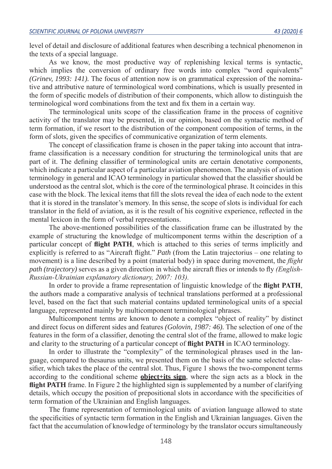level of detail and disclosure of additional features when describing a technical phenomenon in the texts of a special language.

As we know, the most productive way of replenishing lexical terms is syntactic, which implies the conversion of ordinary free words into complex "word equivalents" *(Grinev, 1993: 141).* The focus of attention now is on grammatical expression of the nominative and attributive nature of terminological word combinations, which is usually presented in the form of specific models of distribution of their components, which allow to distinguish the terminological word combinations from the text and fix them in a certain way.

The terminological units scope of the classification frame in the process of cognitive activity of the translator may be presented, in our opinion, based on the syntactic method of term formation, if we resort to the distribution of the component composition of terms, in the form of slots, given the specifics of communicative organization of term elements.

The concept of classification frame is chosen in the paper taking into account that intraframe classification is a necessary condition for structuring the terminological units that are part of it. The defining classifier of terminological units are certain denotative components, which indicate a particular aspect of a particular aviation phenomenon. The analysis of aviation terminology in general and ICAO terminology in particular showed that the classifier should be understood as the central slot, which is the core of the terminological phrase. It coincides in this case with the block. The lexical items that fill the slots reveal the idea of each node to the extent that it is stored in the translator's memory. In this sense, the scope of slots is individual for each translator in the field of aviation, as it is the result of his cognitive experience, reflected in the mental lexicon in the form of verbal representations.

The above-mentioned possibilities of the classification frame can be illustrated by the example of structuring the knowledge of multicomponent terms within the description of a particular concept of **flight PATH**, which is attached to this series of terms implicitly and explicitly is referred to as "Aircraft flight." *Path* (from the Latin trajectorius – one relating to movement) is a line described by a point (material body) in space during movement, the *flight path (trajectory)* serves as a given direction in which the aircraft flies or intends to fly *(English-Russian-Ukrainian explanatory dictionary, 2007: 103).* 

In order to provide a frame representation of linguistic knowledge of the **flight PATH**, the authors made a comparative analysis of technical translations performed at a professional level, based on the fact that such material contains updated terminological units of a special language, represented mainly by multicomponent terminological phrases.

Multicomponent terms are known to denote a complex "object of reality" by distinct and direct focus on different sides and features *(Golovin, 1987: 46).* The selection of one of the features in the form of a classifier, denoting the central slot of the frame, allowed to make logic and clarity to the structuring of a particular concept of **flight PATH** in ICAO terminology.

In order to illustrate the "complexity" of the terminological phrases used in the language, compared to thesaurus units, we presented them on the basis of the same selected classifier, which takes the place of the central slot. Thus, Figure 1 shows the two-component terms according to the conditional scheme **object+its sign**, where the sign acts as a block in the **flight PATH** frame. In Figure 2 the highlighted sign is supplemented by a number of clarifying details, which occupy the position of prepositional slots in accordance with the specificities of term formation of the Ukrainian and English languages.

The frame representation of terminological units of aviation language allowed to state the specificities of syntactic term formation in the English and Ukrainian languages. Given the fact that the accumulation of knowledge of terminology by the translator occurs simultaneously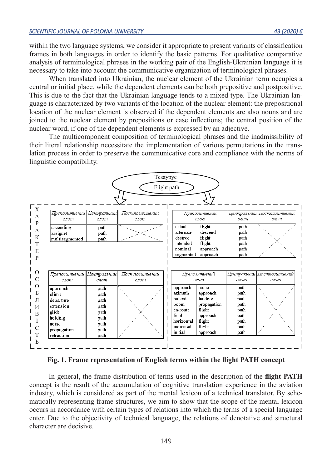within the two language systems, we consider it appropriate to present variants of classification frames in both languages in order to identify the basic patterns. For qualitative comparative analysis of terminological phrases in the working pair of the English-Ukrainian language it is necessary to take into account the communicative organization of terminological phrases.

When translated into Ukrainian, the nuclear element of the Ukrainian term occupies a central or initial place, while the dependent elements can be both prepositive and postpositive. This is due to the fact that the Ukrainian language tends to a mixed type. The Ukrainian language is characterized by two variants of the location of the nuclear element: the prepositional location of the nuclear element is observed if the dependent elements are also nouns and are joined to the nuclear element by prepositions or case inflections; the central position of the nuclear word, if one of the dependent elements is expressed by an adjective.

The multicomponent composition of terminological phrases and the inadmissibility of their literal relationship necessitate the implementation of various permutations in the translation process in order to preserve the communicative core and compliance with the norms of linguistic compatibility.



**Fig. 1. Frame representation of English terms within the flight PATH concept**

In general, the frame distribution of terms used in the description of the **flight PATH** concept is the result of the accumulation of cognitive translation experience in the aviation industry, which is considered as part of the mental lexicon of a technical translator. By schematically representing frame structures, we aim to show that the scope of the mental lexicon occurs in accordance with certain types of relations into which the terms of a special language enter. Due to the objectivity of technical language, the relations of denotative and structural character are decisive.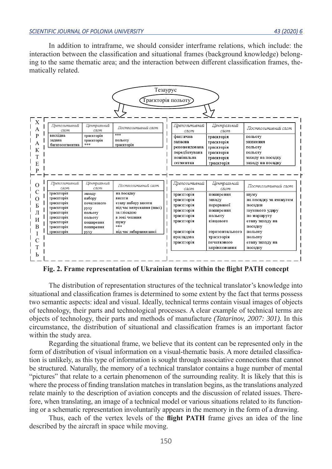In addition to intraframe, we should consider interframe relations, which include: the interaction between the classification and situational frames (background knowledge) belonging to the same thematic area; and the interaction between different classification frames, thematically related.

| Тезаурус<br>Траєкторія польоту)                |                                                                                                                                                     |                                                                                                                        |                                                                                                                                                                           |                                                                                                                                                    |                                                                                                                                                               |                                                                                                                                                                                      |
|------------------------------------------------|-----------------------------------------------------------------------------------------------------------------------------------------------------|------------------------------------------------------------------------------------------------------------------------|---------------------------------------------------------------------------------------------------------------------------------------------------------------------------|----------------------------------------------------------------------------------------------------------------------------------------------------|---------------------------------------------------------------------------------------------------------------------------------------------------------------|--------------------------------------------------------------------------------------------------------------------------------------------------------------------------------------|
| $\mathbf X$<br>А<br>P<br>А<br>К<br>T<br>E<br>P | Препозитивний<br>слот<br>внсхідна<br>задана<br>багатосегментна                                                                                      | Центральний<br>слот<br>траєкторія<br>траєкторія<br>***                                                                 | Постпозитивний слот<br>***<br>польоту<br>траєкторія                                                                                                                       | Препозитивний<br>слот<br>фактична<br>запасна<br>рекомендована<br>передбачувана<br>номінальна<br>сегментна                                          | Центральний<br>слот<br>траєкторія<br>траєкторія<br>траєкторія<br>траєкторія<br>траєкторія<br>траскторія                                                       | Постпозитивний слот<br>польоту<br>зниження<br>польоту<br>польоту<br>заходу на посадку<br>заходу на посадку                                                                           |
| О<br>С<br>O<br>Б<br>Л<br>И<br>B<br>T<br>Ь      | Препозитивний<br>слот<br>траєкторія<br>траєкторія<br>траєкторія<br>траєкторія<br>траєкторія<br>траєкторія<br>траєкторія<br>траєкторія<br>траєкторія | Центральний<br>слот<br>заходу<br>набору<br>початкового<br>pyxy<br>польоту<br>польоту<br>поширення<br>поширення<br>pyxy | Постпозитивний слот<br>на посадку<br>висоти<br>етапу набору висоти<br>під час випускання (шасі)<br>за глісадою<br>в зоні чекання<br>шуму<br>***<br>під час забирання шасі | Препозитивний<br>слот<br>траєкторія<br>траєкторія<br>траєкторія<br>траєкторія<br>траєкторія<br>траєкторія<br>траєкторія<br>приладова<br>траєкторія | Центральний<br>слот<br>поширення<br>заходу<br>перерваної<br>поширення<br>польоту<br>кінцевого<br>горизонтального<br>траєкторія<br>початкового<br>вирівнювання | Постпозитивний слот<br>шуму<br>на посадку за азимутом<br>посадки<br>звукового удару<br>по маршруту<br>етапу заходу на<br>посадку<br>польоту<br>польоту<br>етапу заходу на<br>посадку |

**Fig. 2. Frame representation of Ukrainian terms within the flight PATH concept**

The distribution of representation structures of the technical translator's knowledge into situational and classification frames is determined to some extent by the fact that terms possess two semantic aspects: ideal and visual. Ideally, technical terms contain visual images of objects of technology, their parts and technological processes. A clear example of technical terms are objects of technology, their parts and methods of manufacture *(Tatarinov, 2007: 301).* In this circumstance, the distribution of situational and classification frames is an important factor within the study area.

Regarding the situational frame, we believe that its content can be represented only in the form of distribution of visual information on a visual-thematic basis. A more detailed classification is unlikely, as this type of information is sought through associative connections that cannot be structured. Naturally, the memory of a technical translator contains a huge number of mental "pictures" that relate to a certain phenomenon of the surrounding reality. It is likely that this is where the process of finding translation matches in translation begins, as the translations analyzed relate mainly to the description of aviation concepts and the discussion of related issues. Therefore, when translating, an image of a technical model or various situations related to its functioning or a schematic representation involuntarily appears in the memory in the form of a drawing.

Thus, each of the vertex levels of the **flight PATH** frame gives an idea of the line described by the aircraft in space while moving.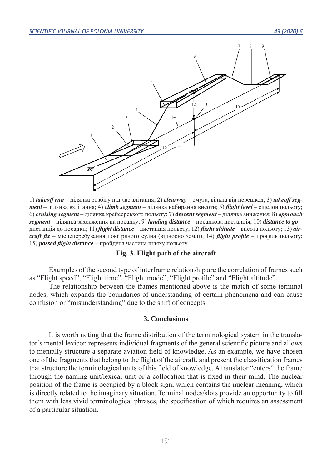

1) *takeoff run* – ділянка розбігу під час злітання; 2) *clearway* – смуга, вільна від перешкод; 3) *takeoff segment* – ділянка взлітання; 4) *climb segment* – ділянка набирання висоти; 5) *flight level* – ешелон польоту; 6) *cruising segment* – ділянка крейсерського польоту; 7) *descent segment* – ділянка зниження; 8) *approach segment* – ділянка заходження на посадку; 9) *landing distance* – посадкова дистанція; 10) *distance to go* – дистанція до посадки; 11) *flight distance* – дистанція польоту; 12) *flight altitude* – висота польоту; 13) *aircraft fix* – місцеперебування повітряного судна (відносно землі); 14) *flight profile* – профіль польоту; 15*) passed flight distance* – пройдена частина шляху польоту.

### **Fig. 3. Flight path of the aircraft**

Examples of the second type of interframe relationship are the correlation of frames such as "Flight speed", "Flight time", "Flight mode", "Flight profile" and "Flight altitude".

The relationship between the frames mentioned above is the match of some terminal nodes, which expands the boundaries of understanding of certain phenomena and can cause confusion or "misunderstanding" due to the shift of concepts.

#### **3. Conclusions**

It is worth noting that the frame distribution of the terminological system in the translator's mental lexicon represents individual fragments of the general scientific picture and allows to mentally structure a separate aviation field of knowledge. As an example, we have chosen one of the fragments that belong to the flight of the aircraft, and present the classification frames that structure the terminological units of this field of knowledge. A translator "enters" the frame through the naming unit/lexical unit or a collocation that is fixed in their mind. The nuclear position of the frame is occupied by a block sign, which contains the nuclear meaning, which is directly related to the imaginary situation. Terminal nodes/slots provide an opportunity to fill them with less vivid terminological phrases, the specification of which requires an assessment of a particular situation.